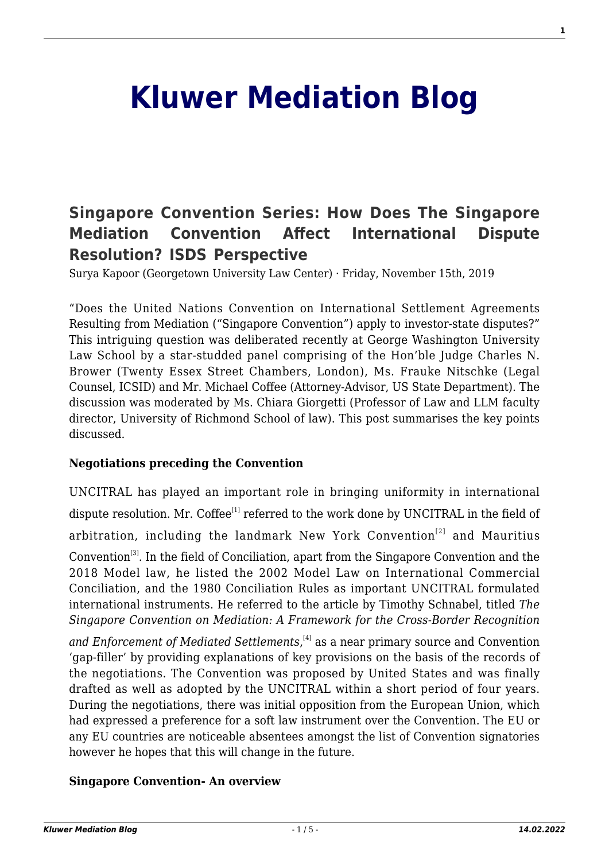# **[Kluwer Mediation Blog](http://mediationblog.kluwerarbitration.com/)**

# **[Singapore Convention Series: How Does The Singapore](http://mediationblog.kluwerarbitration.com/2019/11/15/singapore-convention-series-how-does-the-singapore-mediation-convention-affect-international-dispute-resolution-isds-perspective/) [Mediation Convention Affect International Dispute](http://mediationblog.kluwerarbitration.com/2019/11/15/singapore-convention-series-how-does-the-singapore-mediation-convention-affect-international-dispute-resolution-isds-perspective/) [Resolution? ISDS Perspective](http://mediationblog.kluwerarbitration.com/2019/11/15/singapore-convention-series-how-does-the-singapore-mediation-convention-affect-international-dispute-resolution-isds-perspective/)**

Surya Kapoor (Georgetown University Law Center) · Friday, November 15th, 2019

"Does the United Nations Convention on International Settlement Agreements Resulting from Mediation ("Singapore Convention") apply to investor-state disputes?" This intriguing question was deliberated recently at George Washington University Law School by a star-studded panel comprising of the Hon'ble Judge Charles N. Brower (Twenty Essex Street Chambers, London), Ms. Frauke Nitschke (Legal Counsel, ICSID) and Mr. Michael Coffee (Attorney-Advisor, US State Department). The discussion was moderated by Ms. Chiara Giorgetti (Professor of Law and LLM faculty director, University of Richmond School of law). This post summarises the key points discussed.

#### **Negotiations preceding the Convention**

UNCITRAL has played an important role in bringing uniformity in international dispute resolution. Mr. Coffee<sup>[1]</sup> referred to the work done by UNCITRAL in the field of arbitration, including the landmark New York Convention<sup>[2]</sup> and Mauritius Convention<sup>[3]</sup>. In the field of Conciliation, apart from the Singapore Convention and the 2018 Model law, he listed the 2002 Model Law on International Commercial Conciliation, and the 1980 Conciliation Rules as important UNCITRAL formulated international instruments. He referred to the article by Timothy Schnabel, titled *The Singapore Convention on Mediation: A Framework for the Cross-Border Recognition*

*and Enforcement of Mediated Settlements*, [4] as a near primary source and Convention 'gap-filler' by providing explanations of key provisions on the basis of the records of the negotiations. The Convention was proposed by United States and was finally drafted as well as adopted by the UNCITRAL within a short period of four years. During the negotiations, there was initial opposition from the European Union, which had expressed a preference for a soft law instrument over the Convention. The EU or any EU countries are noticeable absentees amongst the list of Convention signatories however he hopes that this will change in the future.

#### **Singapore Convention- An overview**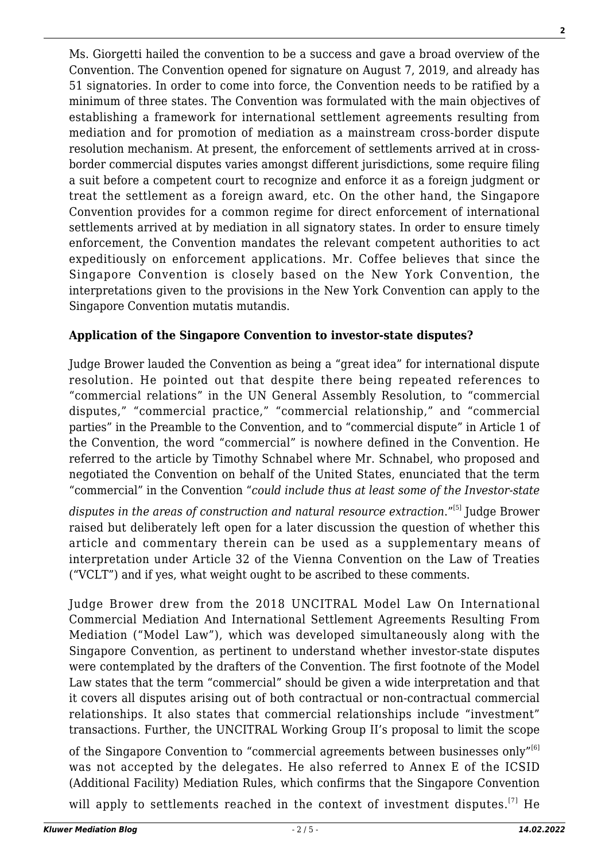Ms. Giorgetti hailed the convention to be a success and gave a broad overview of the Convention. The Convention opened for signature on August 7, 2019, and already has 51 signatories. In order to come into force, the Convention needs to be ratified by a minimum of three states. The Convention was formulated with the main objectives of establishing a framework for international settlement agreements resulting from mediation and for promotion of mediation as a mainstream cross-border dispute resolution mechanism. At present, the enforcement of settlements arrived at in crossborder commercial disputes varies amongst different jurisdictions, some require filing a suit before a competent court to recognize and enforce it as a foreign judgment or treat the settlement as a foreign award, etc. On the other hand, the Singapore Convention provides for a common regime for direct enforcement of international settlements arrived at by mediation in all signatory states. In order to ensure timely enforcement, the Convention mandates the relevant competent authorities to act expeditiously on enforcement applications. Mr. Coffee believes that since the Singapore Convention is closely based on the New York Convention, the interpretations given to the provisions in the New York Convention can apply to the Singapore Convention mutatis mutandis.

### **Application of the Singapore Convention to investor-state disputes?**

Judge Brower lauded the Convention as being a "great idea" for international dispute resolution. He pointed out that despite there being repeated references to "commercial relations" in the UN General Assembly Resolution, to "commercial disputes," "commercial practice," "commercial relationship," and "commercial parties" in the Preamble to the Convention, and to "commercial dispute" in Article 1 of the Convention, the word "commercial" is nowhere defined in the Convention. He referred to the article by Timothy Schnabel where Mr. Schnabel, who proposed and negotiated the Convention on behalf of the United States, enunciated that the term "commercial" in the Convention "*could include thus at least some of the Investor-state*

disputes in the areas of construction and natural resource extraction."<sup>[5]</sup> Judge Brower raised but deliberately left open for a later discussion the question of whether this article and commentary therein can be used as a supplementary means of interpretation under Article 32 of the Vienna Convention on the Law of Treaties ("VCLT") and if yes, what weight ought to be ascribed to these comments.

Judge Brower drew from the 2018 UNCITRAL Model Law On International Commercial Mediation And International Settlement Agreements Resulting From Mediation ("Model Law"), which was developed simultaneously along with the Singapore Convention, as pertinent to understand whether investor-state disputes were contemplated by the drafters of the Convention. The first footnote of the Model Law states that the term "commercial" should be given a wide interpretation and that it covers all disputes arising out of both contractual or non-contractual commercial relationships. It also states that commercial relationships include "investment" transactions. Further, the UNCITRAL Working Group II's proposal to limit the scope

of the Singapore Convention to "commercial agreements between businesses only"<sup>[6]</sup> was not accepted by the delegates. He also referred to Annex E of the ICSID (Additional Facility) Mediation Rules, which confirms that the Singapore Convention

will apply to settlements reached in the context of investment disputes.<sup>[7]</sup> He

**2**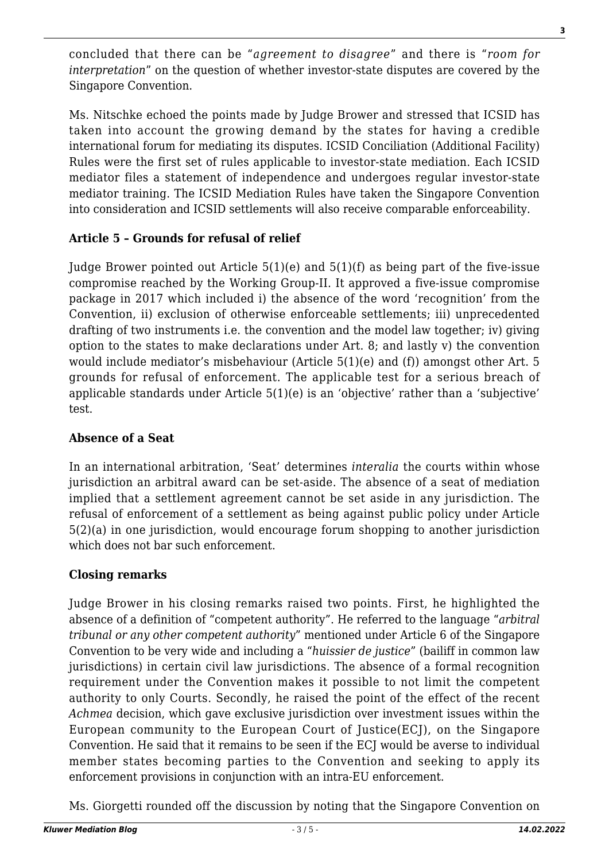concluded that there can be "*agreement to disagree*" and there is "*room for interpretation*" on the question of whether investor-state disputes are covered by the Singapore Convention.

Ms. Nitschke echoed the points made by Judge Brower and stressed that ICSID has taken into account the growing demand by the states for having a credible international forum for mediating its disputes. ICSID Conciliation (Additional Facility) Rules were the first set of rules applicable to investor-state mediation. Each ICSID mediator files a statement of independence and undergoes regular investor-state mediator training. The ICSID Mediation Rules have taken the Singapore Convention into consideration and ICSID settlements will also receive comparable enforceability.

### **Article 5 – Grounds for refusal of relief**

Judge Brower pointed out Article  $5(1)(e)$  and  $5(1)(f)$  as being part of the five-issue compromise reached by the Working Group-II. It approved a five-issue compromise package in 2017 which included i) the absence of the word 'recognition' from the Convention, ii) exclusion of otherwise enforceable settlements; iii) unprecedented drafting of two instruments i.e. the convention and the model law together; iv) giving option to the states to make declarations under Art. 8; and lastly v) the convention would include mediator's misbehaviour (Article 5(1)(e) and (f)) amongst other Art. 5 grounds for refusal of enforcement. The applicable test for a serious breach of applicable standards under Article 5(1)(e) is an 'objective' rather than a 'subjective' test.

## **Absence of a Seat**

In an international arbitration, 'Seat' determines *interalia* the courts within whose jurisdiction an arbitral award can be set-aside. The absence of a seat of mediation implied that a settlement agreement cannot be set aside in any jurisdiction. The refusal of enforcement of a settlement as being against public policy under Article 5(2)(a) in one jurisdiction, would encourage forum shopping to another jurisdiction which does not bar such enforcement.

# **Closing remarks**

Judge Brower in his closing remarks raised two points. First, he highlighted the absence of a definition of "competent authority". He referred to the language "*arbitral tribunal or any other competent authority*" mentioned under Article 6 of the Singapore Convention to be very wide and including a "*huissier de justice*" (bailiff in common law jurisdictions) in certain civil law jurisdictions. The absence of a formal recognition requirement under the Convention makes it possible to not limit the competent authority to only Courts. Secondly, he raised the point of the effect of the recent *Achmea* decision, which gave exclusive jurisdiction over investment issues within the European community to the European Court of Justice(ECJ), on the Singapore Convention. He said that it remains to be seen if the ECJ would be averse to individual member states becoming parties to the Convention and seeking to apply its enforcement provisions in conjunction with an intra-EU enforcement.

Ms. Giorgetti rounded off the discussion by noting that the Singapore Convention on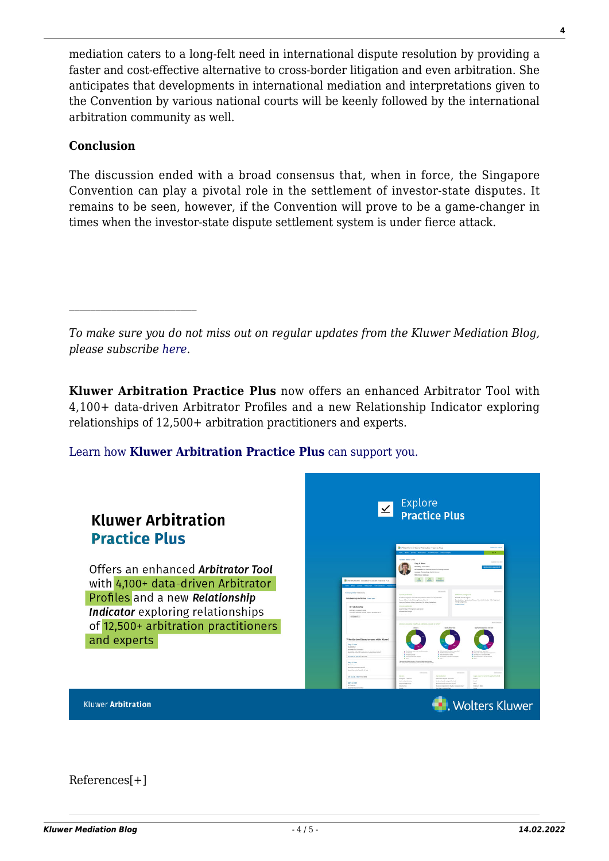mediation caters to a long-felt need in international dispute resolution by providing a faster and cost-effective alternative to cross-border litigation and even arbitration. She anticipates that developments in international mediation and interpretations given to the Convention by various national courts will be keenly followed by the international arbitration community as well.

#### **Conclusion**

 $\mathcal{L}_\text{max}$ 

The discussion ended with a broad consensus that, when in force, the Singapore Convention can play a pivotal role in the settlement of investor-state disputes. It remains to be seen, however, if the Convention will prove to be a game-changer in times when the investor-state dispute settlement system is under fierce attack.

*To make sure you do not miss out on regular updates from the Kluwer Mediation Blog, please subscribe [here.](http://mediationblog.kluwerarbitration.com/newsletter/)*

**Kluwer Arbitration Practice Plus** now offers an enhanced Arbitrator Tool with 4,100+ data-driven Arbitrator Profiles and a new Relationship Indicator exploring relationships of 12,500+ arbitration practitioners and experts.

[Learn how](https://www.wolterskluwer.com/en/solutions/kluwerarbitration/practiceplus?utm_source=mediationblog&utm_medium=articleCTA&utm_campaign=article-banner) **[Kluwer Arbitration Practice Plus](https://www.wolterskluwer.com/en/solutions/kluwerarbitration/practiceplus?utm_source=mediationblog&utm_medium=articleCTA&utm_campaign=article-banner)** [can support you.](https://www.wolterskluwer.com/en/solutions/kluwerarbitration/practiceplus?utm_source=mediationblog&utm_medium=articleCTA&utm_campaign=article-banner)



References[+]